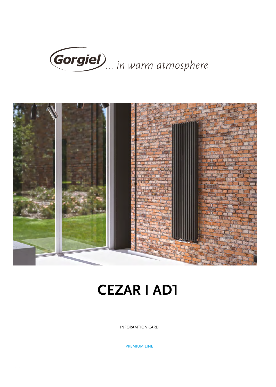



## **CEZAR I AD1**

INFORAMTION CARD

PREMIUM LINE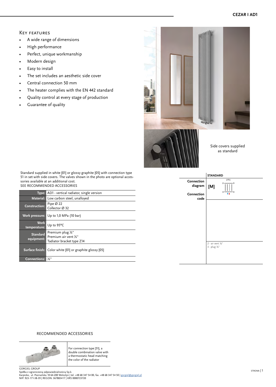## Key features

- A wide range of dimensions
- High performance
- Perfect, unique workmanship
- Modern design
- Easy to install
- The set includes an aesthetic side cover
- Central connection 50 mm
- The heater complies with the EN 442 standard
- Quality control at every stage of production
- Guarantee of quality



Standard supplied in white [01] or glossy graphite [05] with connection type 51 in set with side covers. The valves shown in the photo are optional accessories available at an additional cost. SEE RECOMMENDED ACCESSORIES

|                               | Type: AD1 - vertical radiator, single version                                      |
|-------------------------------|------------------------------------------------------------------------------------|
|                               | Material: Low carbon steel, unalloyed                                              |
| <b>Construction:</b>          | Pipe $\varnothing$ 22<br>Collector Ø 32                                            |
|                               | Work pressure: Up to 1,0 MPa (10 bar)                                              |
| <b>Work</b><br>temperature:   | Up to 95°C                                                                         |
| <b>Standard</b><br>equipment: | Premium plug $\frac{1}{2}$ "<br>Premium air vent 1/2"<br>Tadiator bracket type Z14 |
|                               | Surface finish: Color white [01] or graphite glossy [05]                           |
| <b>Connections:</b>           | りん "                                                                               |



## RECOMMENDED ACCESSORIES



For connection type [51], a double combination valve with a thermostatic head matching the color of the radiator

GORGIEL GROUP<br>Spółka z ograniczoną odpowiedzialnością Sp.k.<br>Karpicko, ul. Poznańska 10 64-200 Wolsztyn | tel. +48 68 347 54 00, fax. +48 68 347 54 50 | g<u>orgiel@gorgiel.pl</u><br>NIP: 923-171-38-39 | REGON: 367883417 | KRS 00007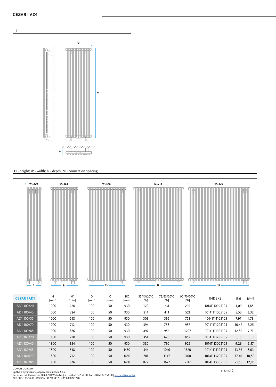

## H - height; W - width; D - depth; M - connection spacing;



| AD1 100/85 | 1000 | 876 | 100 | 50 | 930  | 497 | 956  | 1207 | 10141111305105 | 12,86 | 7.71  |
|------------|------|-----|-----|----|------|-----|------|------|----------------|-------|-------|
| AD1 180/20 | 1800 | 220 | 100 | 50 | 930  | 354 | 676  | 852  | 10141111295105 | 5,16  | 3.10  |
| AD1 180/40 | 1800 | 384 | 100 | 50 | 930  | 380 | 730  | 922  | 10141113005105 | 9,26  | 5,57  |
| AD1 180/55 | 1800 | 548 | 100 | 50 | 1430 | 544 | 1046 | 1320 | 10141113105105 | 13,36 | 8,03  |
| AD1 180/70 | 1800 | 712 | 100 | 50 | 1430 | 701 | 1347 | 1700 | 10141113205105 | 17,46 | 10,50 |
| AD1 180/85 | 1800 | 876 | 100 | 50 | 1430 | 872 | 1677 | 2117 | 10141113305101 | 21.56 | 12,96 |
|            |      |     |     |    |      |     |      |      |                |       |       |

GORGIEL GROUP<br>Spółka z ograniczoną odpowiedzialnością Sp.k.<br>Karpicko, ul. Poznańska 10 64-200 Wolsztyn | tel. +48 68 347 54 00, fax. +48 68 347 54 50 | g<u>orgiel@gorgiel.pl</u><br>NIP: 923-171-38-39 | REGON: 367883417 | KRS 00007